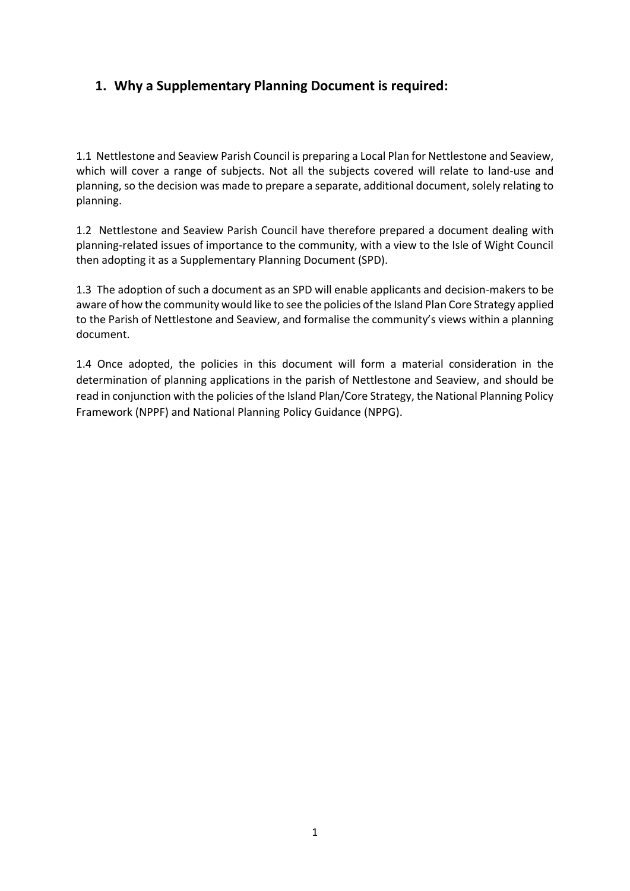# **1. Why a Supplementary Planning Document is required:**

1.1 Nettlestone and Seaview Parish Council is preparing a Local Plan for Nettlestone and Seaview, which will cover a range of subjects. Not all the subjects covered will relate to land-use and planning, so the decision was made to prepare a separate, additional document, solely relating to planning.

1.2 Nettlestone and Seaview Parish Council have therefore prepared a document dealing with planning-related issues of importance to the community, with a view to the Isle of Wight Council then adopting it as a Supplementary Planning Document (SPD).

1.3 The adoption of such a document as an SPD will enable applicants and decision-makers to be aware of how the community would like to see the policies of the Island Plan Core Strategy applied to the Parish of Nettlestone and Seaview, and formalise the community's views within a planning document.

1.4 Once adopted, the policies in this document will form a material consideration in the determination of planning applications in the parish of Nettlestone and Seaview, and should be read in conjunction with the policies of the Island Plan/Core Strategy, the National Planning Policy Framework (NPPF) and National Planning Policy Guidance (NPPG).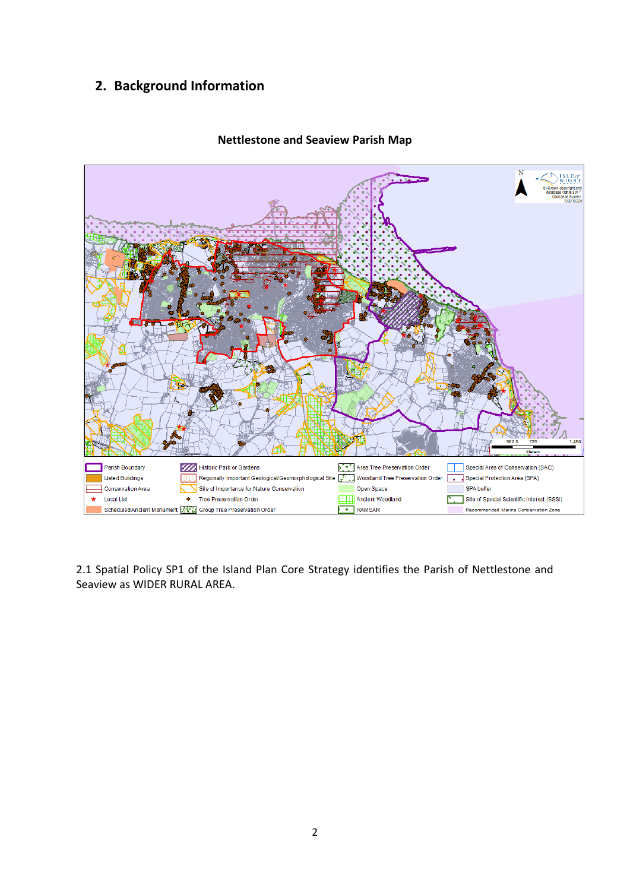# **2. Background Information**



#### **Nettlestone and Seaview Parish Map**

2.1 Spatial Policy SP1 of the Island Plan Core Strategy identifies the Parish of Nettlestone and Seaview as WIDER RURAL AREA.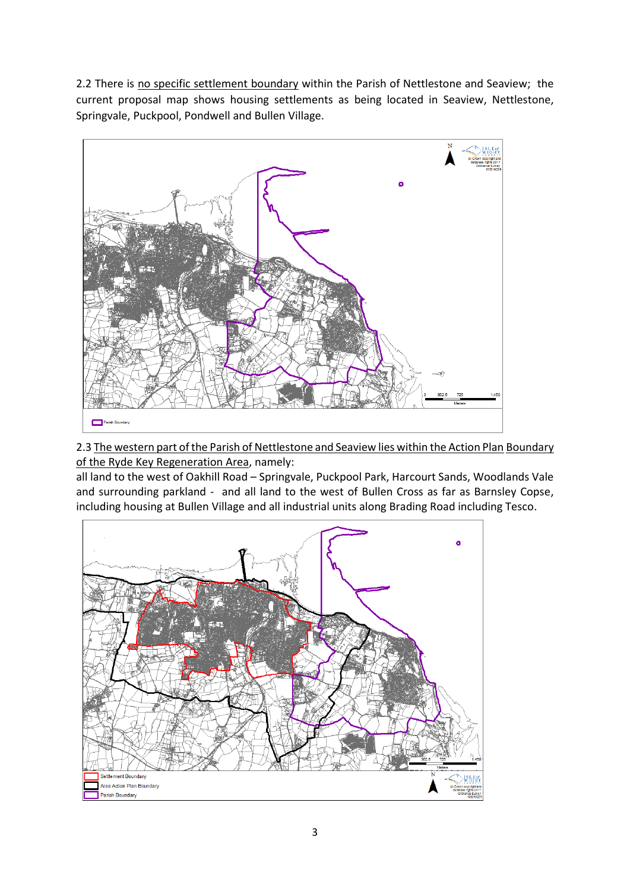2.2 There is no specific settlement boundary within the Parish of Nettlestone and Seaview; the current proposal map shows housing settlements as being located in Seaview, Nettlestone, Springvale, Puckpool, Pondwell and Bullen Village.



2.3 The western part of the Parish of Nettlestone and Seaview lies within the Action Plan Boundary of the Ryde Key Regeneration Area, namely:

all land to the west of Oakhill Road – Springvale, Puckpool Park, Harcourt Sands, Woodlands Vale and surrounding parkland - and all land to the west of Bullen Cross as far as Barnsley Copse, including housing at Bullen Village and all industrial units along Brading Road including Tesco.

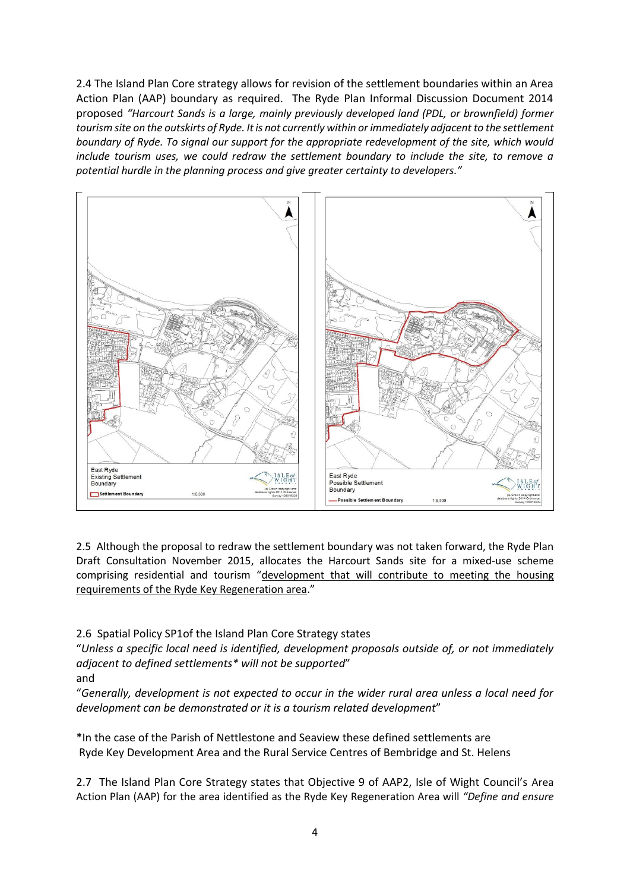2.4 The Island Plan Core strategy allows for revision of the settlement boundaries within an Area Action Plan (AAP) boundary as required. The Ryde Plan Informal Discussion Document 2014 proposed *"Harcourt Sands is a large, mainly previously developed land (PDL, or brownfield) former tourism site on the outskirts of Ryde. It is not currently within or immediately adjacent to the settlement boundary of Ryde. To signal our support for the appropriate redevelopment of the site, which would include tourism uses, we could redraw the settlement boundary to include the site, to remove a potential hurdle in the planning process and give greater certainty to developers."*



2.5 Although the proposal to redraw the settlement boundary was not taken forward, the Ryde Plan Draft Consultation November 2015, allocates the Harcourt Sands site for a mixed-use scheme comprising residential and tourism "development that will contribute to meeting the housing requirements of the Ryde Key Regeneration area."

2.6 Spatial Policy SP1of the Island Plan Core Strategy states

"*Unless a specific local need is identified, development proposals outside of, or not immediately adjacent to defined settlements\* will not be supported*"

and

"*Generally, development is not expected to occur in the wider rural area unless a local need for development can be demonstrated or it is a tourism related development*"

\*In the case of the Parish of Nettlestone and Seaview these defined settlements are Ryde Key Development Area and the Rural Service Centres of Bembridge and St. Helens

2.7 The Island Plan Core Strategy states that Objective 9 of AAP2, Isle of Wight Council's Area Action Plan (AAP) for the area identified as the Ryde Key Regeneration Area will *"Define and ensure*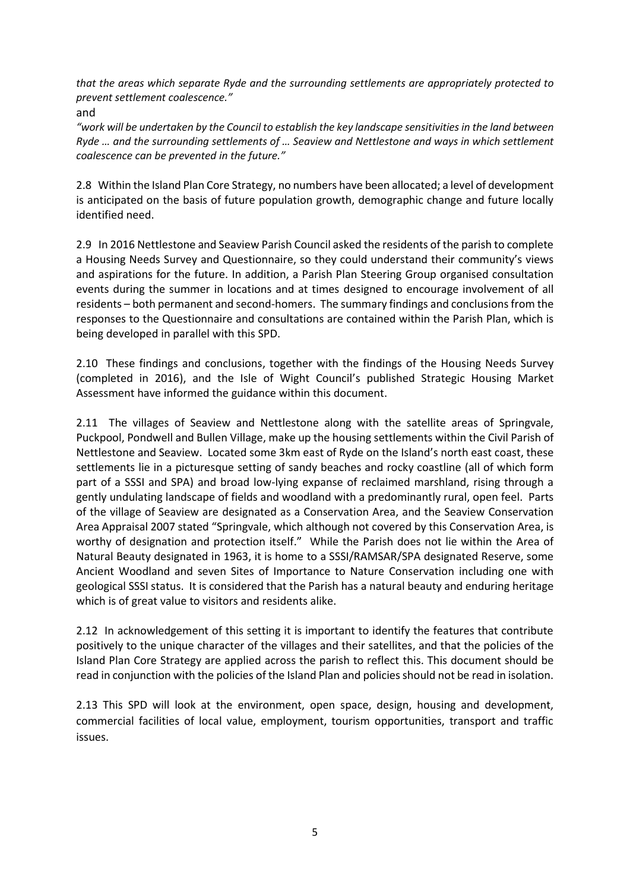*that the areas which separate Ryde and the surrounding settlements are appropriately protected to prevent settlement coalescence."*

and

*"work will be undertaken by the Council to establish the key landscape sensitivities in the land between Ryde … and the surrounding settlements of … Seaview and Nettlestone and ways in which settlement coalescence can be prevented in the future."*

2.8 Within the Island Plan Core Strategy, no numbers have been allocated; a level of development is anticipated on the basis of future population growth, demographic change and future locally identified need.

2.9 In 2016 Nettlestone and Seaview Parish Council asked the residents of the parish to complete a Housing Needs Survey and Questionnaire, so they could understand their community's views and aspirations for the future. In addition, a Parish Plan Steering Group organised consultation events during the summer in locations and at times designed to encourage involvement of all residents – both permanent and second-homers. The summary findings and conclusions from the responses to the Questionnaire and consultations are contained within the Parish Plan, which is being developed in parallel with this SPD.

2.10 These findings and conclusions, together with the findings of the Housing Needs Survey (completed in 2016), and the Isle of Wight Council's published Strategic Housing Market Assessment have informed the guidance within this document.

2.11 The villages of Seaview and Nettlestone along with the satellite areas of Springvale, Puckpool, Pondwell and Bullen Village, make up the housing settlements within the Civil Parish of Nettlestone and Seaview. Located some 3km east of Ryde on the Island's north east coast, these settlements lie in a picturesque setting of sandy beaches and rocky coastline (all of which form part of a SSSI and SPA) and broad low-lying expanse of reclaimed marshland, rising through a gently undulating landscape of fields and woodland with a predominantly rural, open feel. Parts of the village of Seaview are designated as a Conservation Area, and the Seaview Conservation Area Appraisal 2007 stated "Springvale, which although not covered by this Conservation Area, is worthy of designation and protection itself." While the Parish does not lie within the Area of Natural Beauty designated in 1963, it is home to a SSSI/RAMSAR/SPA designated Reserve, some Ancient Woodland and seven Sites of Importance to Nature Conservation including one with geological SSSI status. It is considered that the Parish has a natural beauty and enduring heritage which is of great value to visitors and residents alike.

2.12 In acknowledgement of this setting it is important to identify the features that contribute positively to the unique character of the villages and their satellites, and that the policies of the Island Plan Core Strategy are applied across the parish to reflect this. This document should be read in conjunction with the policies of the Island Plan and policies should not be read in isolation.

2.13 This SPD will look at the environment, open space, design, housing and development, commercial facilities of local value, employment, tourism opportunities, transport and traffic issues.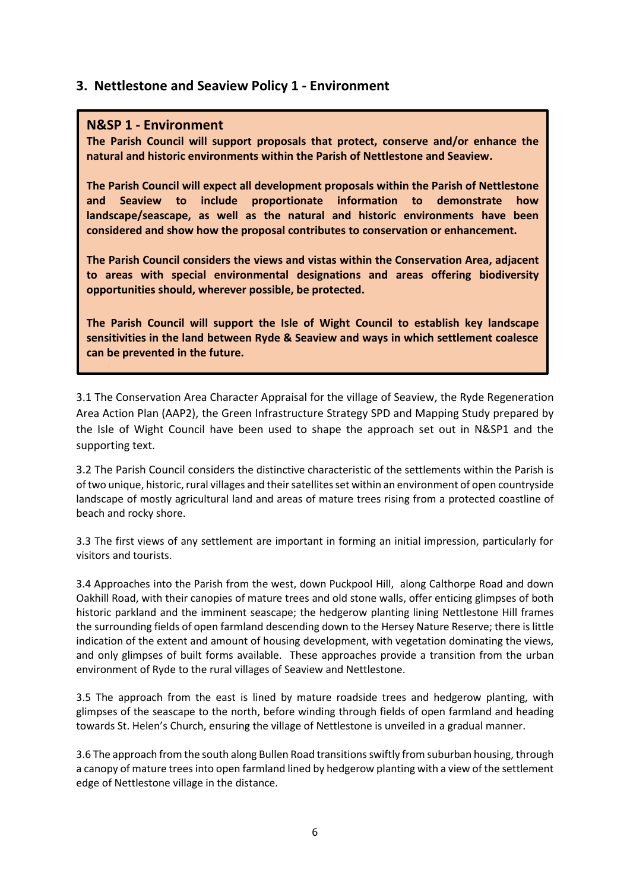## **3. Nettlestone and Seaview Policy 1 - Environment**

#### **N&SP 1 - Environment**

**The Parish Council will support proposals that protect, conserve and/or enhance the natural and historic environments within the Parish of Nettlestone and Seaview.**

**The Parish Council will expect all development proposals within the Parish of Nettlestone and Seaview to include proportionate information to demonstrate how landscape/seascape, as well as the natural and historic environments have been considered and show how the proposal contributes to conservation or enhancement.**

**The Parish Council considers the views and vistas within the Conservation Area, adjacent to areas with special environmental designations and areas offering biodiversity opportunities should, wherever possible, be protected.**

**The Parish Council will support the Isle of Wight Council to establish key landscape sensitivities in the land between Ryde & Seaview and ways in which settlement coalesce can be prevented in the future.**

3.1 The Conservation Area Character Appraisal for the village of Seaview, the Ryde Regeneration Area Action Plan (AAP2), the Green Infrastructure Strategy SPD and Mapping Study prepared by the Isle of Wight Council have been used to shape the approach set out in N&SP1 and the supporting text.

3.2 The Parish Council considers the distinctive characteristic of the settlements within the Parish is of two unique, historic,rural villages and their satellites set within an environment of open countryside landscape of mostly agricultural land and areas of mature trees rising from a protected coastline of beach and rocky shore.

3.3 The first views of any settlement are important in forming an initial impression, particularly for visitors and tourists.

3.4 Approaches into the Parish from the west, down Puckpool Hill, along Calthorpe Road and down Oakhill Road, with their canopies of mature trees and old stone walls, offer enticing glimpses of both historic parkland and the imminent seascape; the hedgerow planting lining Nettlestone Hill frames the surrounding fields of open farmland descending down to the Hersey Nature Reserve; there is little indication of the extent and amount of housing development, with vegetation dominating the views, and only glimpses of built forms available. These approaches provide a transition from the urban environment of Ryde to the rural villages of Seaview and Nettlestone.

3.5 The approach from the east is lined by mature roadside trees and hedgerow planting, with glimpses of the seascape to the north, before winding through fields of open farmland and heading towards St. Helen's Church, ensuring the village of Nettlestone is unveiled in a gradual manner.

3.6 The approach from the south along Bullen Road transitions swiftly from suburban housing, through a canopy of mature trees into open farmland lined by hedgerow planting with a view of the settlement edge of Nettlestone village in the distance.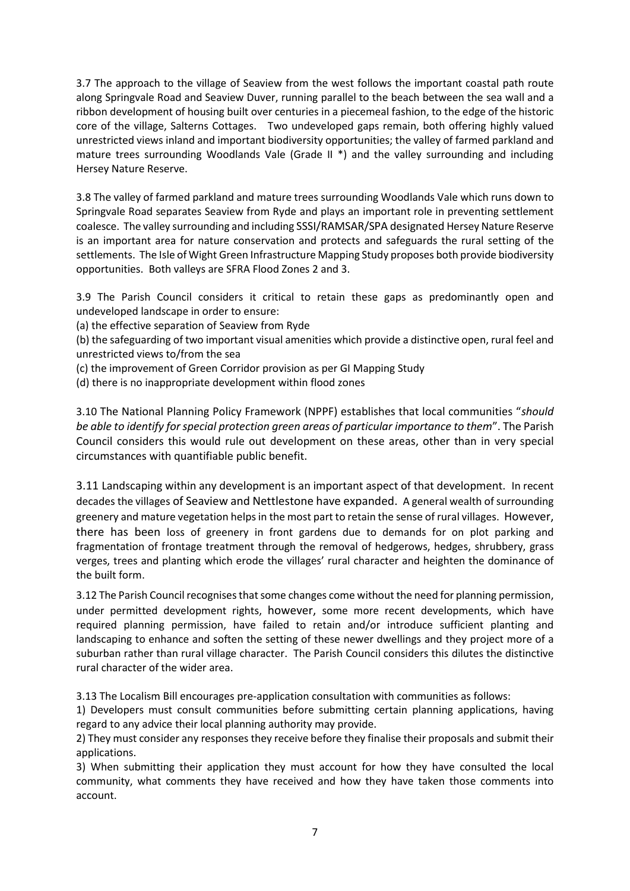3.7 The approach to the village of Seaview from the west follows the important coastal path route along Springvale Road and Seaview Duver, running parallel to the beach between the sea wall and a ribbon development of housing built over centuries in a piecemeal fashion, to the edge of the historic core of the village, Salterns Cottages. Two undeveloped gaps remain, both offering highly valued unrestricted views inland and important biodiversity opportunities; the valley of farmed parkland and mature trees surrounding Woodlands Vale (Grade II \*) and the valley surrounding and including Hersey Nature Reserve.

3.8 The valley of farmed parkland and mature trees surrounding Woodlands Vale which runs down to Springvale Road separates Seaview from Ryde and plays an important role in preventing settlement coalesce. The valley surrounding and including SSSI/RAMSAR/SPA designated Hersey Nature Reserve is an important area for nature conservation and protects and safeguards the rural setting of the settlements. The Isle of Wight Green Infrastructure Mapping Study proposes both provide biodiversity opportunities. Both valleys are SFRA Flood Zones 2 and 3.

3.9 The Parish Council considers it critical to retain these gaps as predominantly open and undeveloped landscape in order to ensure:

(a) the effective separation of Seaview from Ryde

(b) the safeguarding of two important visual amenities which provide a distinctive open, rural feel and unrestricted views to/from the sea

(c) the improvement of Green Corridor provision as per GI Mapping Study

(d) there is no inappropriate development within flood zones

3.10 The National Planning Policy Framework (NPPF) establishes that local communities "*should be able to identify for special protection green areas of particular importance to them*". The Parish Council considers this would rule out development on these areas, other than in very special circumstances with quantifiable public benefit.

3.11 Landscaping within any development is an important aspect of that development. In recent decades the villages of Seaview and Nettlestone have expanded. A general wealth of surrounding greenery and mature vegetation helps in the most part to retain the sense of rural villages. However, there has been loss of greenery in front gardens due to demands for on plot parking and fragmentation of frontage treatment through the removal of hedgerows, hedges, shrubbery, grass verges, trees and planting which erode the villages' rural character and heighten the dominance of the built form.

3.12 The Parish Council recognises that some changes come without the need for planning permission, under permitted development rights, however, some more recent developments, which have required planning permission, have failed to retain and/or introduce sufficient planting and landscaping to enhance and soften the setting of these newer dwellings and they project more of a suburban rather than rural village character. The Parish Council considers this dilutes the distinctive rural character of the wider area.

3.13 The Localism Bill encourages pre-application consultation with communities as follows:

1) Developers must consult communities before submitting certain planning applications, having regard to any advice their local planning authority may provide.

2) They must consider any responses they receive before they finalise their proposals and submit their applications.

3) When submitting their application they must account for how they have consulted the local community, what comments they have received and how they have taken those comments into account.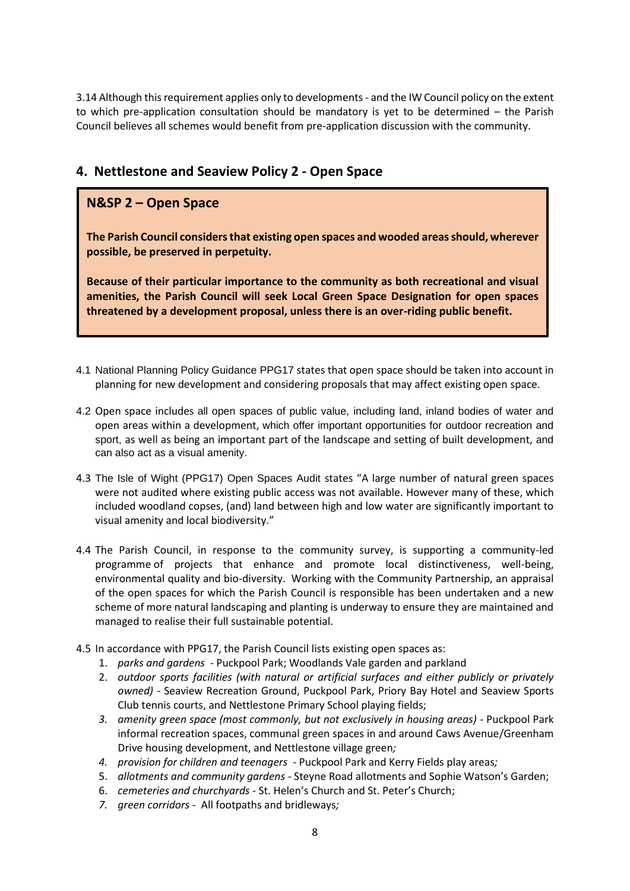3.14 Although this requirement applies only to developments - and the IW Council policy on the extent to which pre-application consultation should be mandatory is yet to be determined – the Parish Council believes all schemes would benefit from pre-application discussion with the community.

# **4. Nettlestone and Seaview Policy 2 - Open Space**

# **N&SP 2 – Open Space**

**The Parish Council considers that existing open spaces and wooded areas should, wherever possible, be preserved in perpetuity.**

**Because of their particular importance to the community as both recreational and visual amenities, the Parish Council will seek Local Green Space Designation for open spaces threatened by a development proposal, unless there is an over-riding public benefit.** 

- 4.1 National Planning Policy Guidance PPG17 states that open space should be taken into account in planning for new development and considering proposals that may affect existing open space.
- 4.2 Open space includes all open spaces of public value, including land, inland bodies of water and open areas within a development, which offer important opportunities for outdoor recreation and sport, as well as being an important part of the landscape and setting of built development, and can also act as a visual amenity.
- 4.3 The Isle of Wight (PPG17) Open Spaces Audit states "A large number of natural green spaces were not audited where existing public access was not available. However many of these, which included woodland copses, (and) land between high and low water are significantly important to visual amenity and local biodiversity."
- 4.4 The Parish Council, in response to the community survey, is supporting a community-led programme of projects that enhance and promote local distinctiveness, well-being, environmental quality and bio-diversity. Working with the Community Partnership, an appraisal of the open spaces for which the Parish Council is responsible has been undertaken and a new scheme of more natural landscaping and planting is underway to ensure they are maintained and managed to realise their full sustainable potential.
- 4.5 In accordance with PPG17, the Parish Council lists existing open spaces as:
	- 1. *parks and gardens* Puckpool Park; Woodlands Vale garden and parkland
	- 2. *outdoor sports facilities (with natural or artificial surfaces and either publicly or privately owned) -* Seaview Recreation Ground, Puckpool Park, Priory Bay Hotel and Seaview Sports Club tennis courts, and Nettlestone Primary School playing fields;
	- *3. amenity green space (most commonly, but not exclusively in housing areas) -* Puckpool Park informal recreation spaces, communal green spaces in and around Caws Avenue/Greenham Drive housing development, and Nettlestone village green*;*
	- *4. provision for children and teenagers* Puckpool Park and Kerry Fields play areas*;*
	- 5. *allotments and community gardens -* Steyne Road allotments and Sophie Watson's Garden;
	- 6. *cemeteries and churchyards* St. Helen's Church and St. Peter's Church;
	- *7. green corridors -* All footpaths and bridleways*;*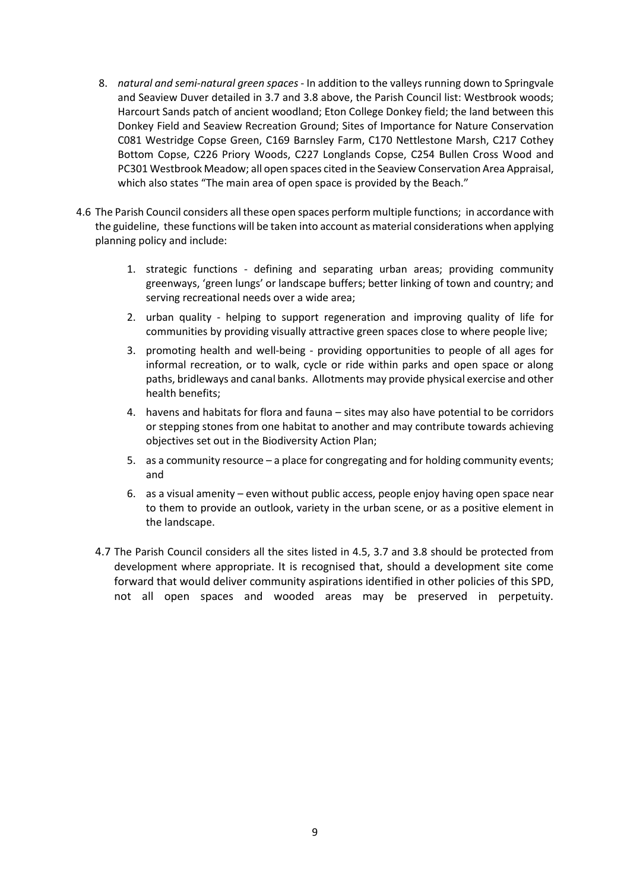- 8. *natural and semi-natural green spaces* In addition to the valleys running down to Springvale and Seaview Duver detailed in 3.7 and 3.8 above, the Parish Council list: Westbrook woods; Harcourt Sands patch of ancient woodland; Eton College Donkey field; the land between this Donkey Field and Seaview Recreation Ground; Sites of Importance for Nature Conservation C081 Westridge Copse Green, C169 Barnsley Farm, C170 Nettlestone Marsh, C217 Cothey Bottom Copse, C226 Priory Woods, C227 Longlands Copse, C254 Bullen Cross Wood and PC301 Westbrook Meadow; all open spaces cited in the Seaview Conservation Area Appraisal, which also states "The main area of open space is provided by the Beach."
- 4.6 The Parish Council considers all these open spaces perform multiple functions; in accordance with the guideline, these functions will be taken into account as material considerations when applying planning policy and include:
	- 1. strategic functions defining and separating urban areas; providing community greenways, 'green lungs' or landscape buffers; better linking of town and country; and serving recreational needs over a wide area;
	- 2. urban quality helping to support regeneration and improving quality of life for communities by providing visually attractive green spaces close to where people live;
	- 3. promoting health and well-being providing opportunities to people of all ages for informal recreation, or to walk, cycle or ride within parks and open space or along paths, bridleways and canal banks. Allotments may provide physical exercise and other health benefits;
	- 4. havens and habitats for flora and fauna sites may also have potential to be corridors or stepping stones from one habitat to another and may contribute towards achieving objectives set out in the Biodiversity Action Plan;
	- 5. as a community resource a place for congregating and for holding community events; and
	- 6. as a visual amenity even without public access, people enjoy having open space near to them to provide an outlook, variety in the urban scene, or as a positive element in the landscape.
	- 4.7 The Parish Council considers all the sites listed in 4.5, 3.7 and 3.8 should be protected from development where appropriate. It is recognised that, should a development site come forward that would deliver community aspirations identified in other policies of this SPD, not all open spaces and wooded areas may be preserved in perpetuity.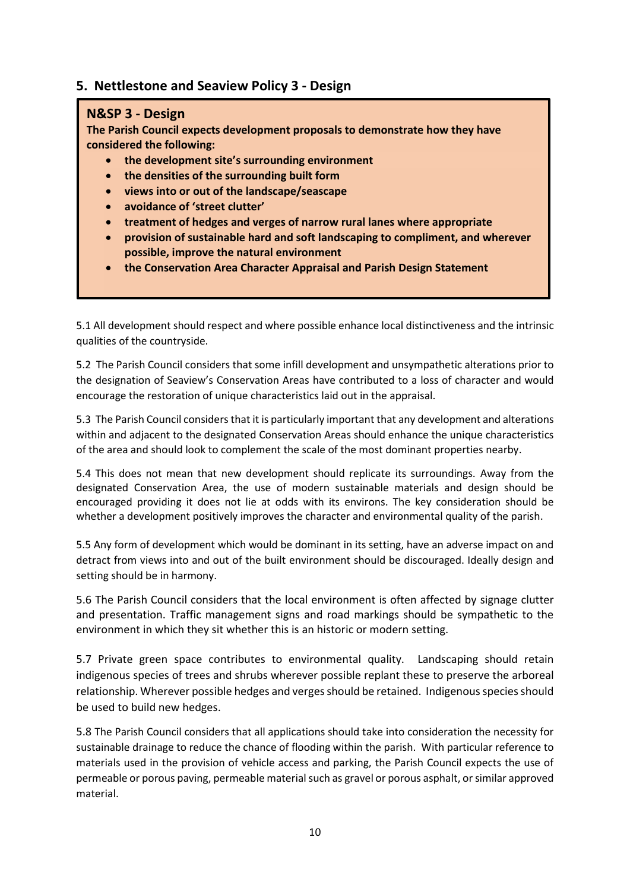## **5. Nettlestone and Seaview Policy 3 - Design**

#### **N&SP 3 - Design**

**The Parish Council expects development proposals to demonstrate how they have considered the following:** 

- **the development site's surrounding environment**
- **the densities of the surrounding built form**
- **views into or out of the landscape/seascape**
- **avoidance of 'street clutter'**
- **treatment of hedges and verges of narrow rural lanes where appropriate**
- **provision of sustainable hard and soft landscaping to compliment, and wherever possible, improve the natural environment**
- **the Conservation Area Character Appraisal and Parish Design Statement**

5.1 All development should respect and where possible enhance local distinctiveness and the intrinsic qualities of the countryside.

5.2 The Parish Council considers that some infill development and unsympathetic alterations prior to the designation of Seaview's Conservation Areas have contributed to a loss of character and would encourage the restoration of unique characteristics laid out in the appraisal.

5.3 The Parish Council considers that it is particularly important that any development and alterations within and adjacent to the designated Conservation Areas should enhance the unique characteristics of the area and should look to complement the scale of the most dominant properties nearby.

5.4 This does not mean that new development should replicate its surroundings. Away from the designated Conservation Area, the use of modern sustainable materials and design should be encouraged providing it does not lie at odds with its environs. The key consideration should be whether a development positively improves the character and environmental quality of the parish.

5.5 Any form of development which would be dominant in its setting, have an adverse impact on and detract from views into and out of the built environment should be discouraged. Ideally design and setting should be in harmony.

5.6 The Parish Council considers that the local environment is often affected by signage clutter and presentation. Traffic management signs and road markings should be sympathetic to the environment in which they sit whether this is an historic or modern setting.

5.7 Private green space contributes to environmental quality. Landscaping should retain indigenous species of trees and shrubs wherever possible replant these to preserve the arboreal relationship. Wherever possible hedges and verges should be retained. Indigenous species should be used to build new hedges.

5.8 The Parish Council considers that all applications should take into consideration the necessity for sustainable drainage to reduce the chance of flooding within the parish. With particular reference to materials used in the provision of vehicle access and parking, the Parish Council expects the use of permeable or porous paving, permeable material such as gravel or porous asphalt, or similar approved material.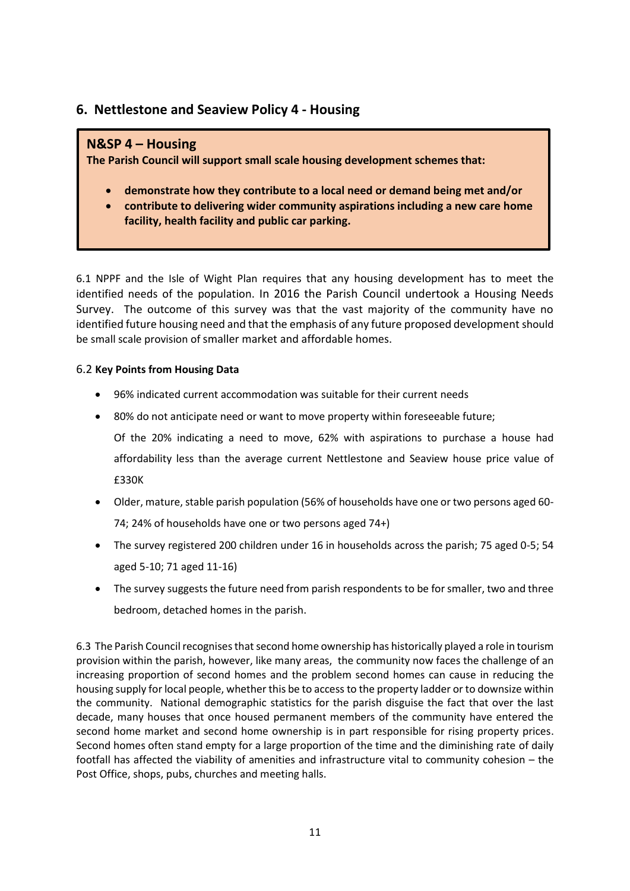# **6. Nettlestone and Seaview Policy 4 - Housing**

### **N&SP 4 – Housing**

**The Parish Council will support small scale housing development schemes that:** 

- **demonstrate how they contribute to a local need or demand being met and/or**
- **contribute to delivering wider community aspirations including a new care home facility, health facility and public car parking.**

6.1 NPPF and the Isle of Wight Plan requires that any housing development has to meet the identified needs of the population. In 2016 the Parish Council undertook a Housing Needs Survey. The outcome of this survey was that the vast majority of the community have no identified future housing need and that the emphasis of any future proposed development should be small scale provision of smaller market and affordable homes.

#### 6.2 **Key Points from Housing Data**

- 96% indicated current accommodation was suitable for their current needs
- 80% do not anticipate need or want to move property within foreseeable future; Of the 20% indicating a need to move, 62% with aspirations to purchase a house had affordability less than the average current Nettlestone and Seaview house price value of £330K
- Older, mature, stable parish population (56% of households have one or two persons aged 60- 74; 24% of households have one or two persons aged 74+)
- The survey registered 200 children under 16 in households across the parish; 75 aged 0-5; 54 aged 5-10; 71 aged 11-16)
- The survey suggests the future need from parish respondents to be for smaller, two and three bedroom, detached homes in the parish.

6.3 The Parish Council recognises that second home ownership has historically played a role in tourism provision within the parish, however, like many areas, the community now faces the challenge of an increasing proportion of second homes and the problem second homes can cause in reducing the housing supply for local people, whether this be to access to the property ladder or to downsize within the community. National demographic statistics for the parish disguise the fact that over the last decade, many houses that once housed permanent members of the community have entered the second home market and second home ownership is in part responsible for rising property prices. Second homes often stand empty for a large proportion of the time and the diminishing rate of daily footfall has affected the viability of amenities and infrastructure vital to community cohesion – the Post Office, shops, pubs, churches and meeting halls.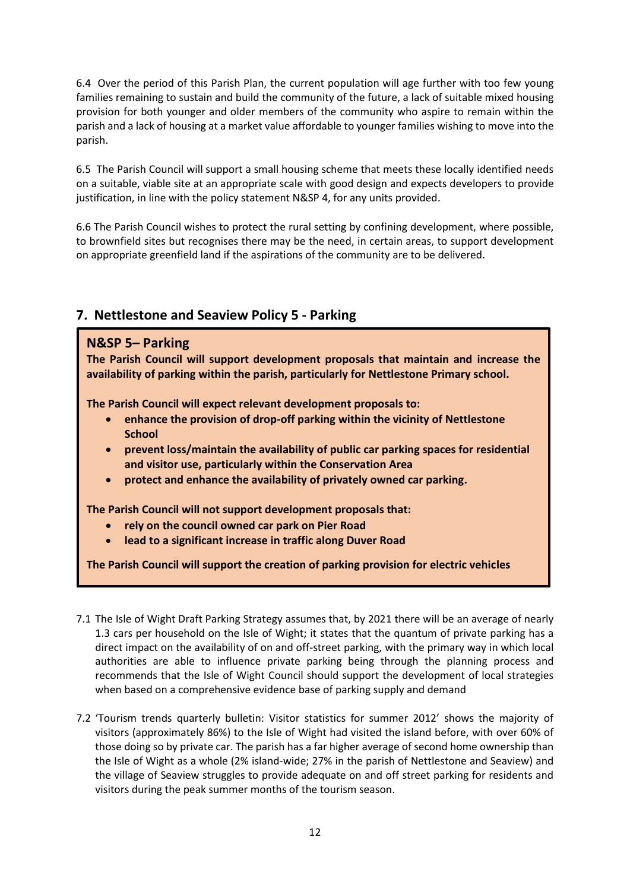6.4 Over the period of this Parish Plan, the current population will age further with too few young families remaining to sustain and build the community of the future, a lack of suitable mixed housing provision for both younger and older members of the community who aspire to remain within the parish and a lack of housing at a market value affordable to younger families wishing to move into the parish.

6.5 The Parish Council will support a small housing scheme that meets these locally identified needs on a suitable, viable site at an appropriate scale with good design and expects developers to provide justification, in line with the policy statement N&SP 4, for any units provided.

6.6 The Parish Council wishes to protect the rural setting by confining development, where possible, to brownfield sites but recognises there may be the need, in certain areas, to support development on appropriate greenfield land if the aspirations of the community are to be delivered.

# **7. Nettlestone and Seaview Policy 5 - Parking**

# **7. Parking N&SP 5– Parking**

**The Parish Council will support development proposals that maintain and increase the availability of parking within the parish, particularly for Nettlestone Primary school.** 

**The Parish Council will expect relevant development proposals to:** 

- **enhance the provision of drop-off parking within the vicinity of Nettlestone School**
- **prevent loss/maintain the availability of public car parking spaces for residential and visitor use, particularly within the Conservation Area**
- **protect and enhance the availability of privately owned car parking.**

**The Parish Council will not support development proposals that:** 

- **rely on the council owned car park on Pier Road**
- **lead to a significant increase in traffic along Duver Road**

**The Parish Council will support the creation of parking provision for electric vehicles**

- 7.1 The Isle of Wight Draft Parking Strategy assumes that, by 2021 there will be an average of nearly 1.3 cars per household on the Isle of Wight; it states that the quantum of private parking has a direct impact on the availability of on and off-street parking, with the primary way in which local authorities are able to influence private parking being through the planning process and recommends that the Isle of Wight Council should support the development of local strategies when based on a comprehensive evidence base of parking supply and demand
- 7.2 'Tourism trends quarterly bulletin: Visitor statistics for summer 2012' shows the majority of visitors (approximately 86%) to the Isle of Wight had visited the island before, with over 60% of those doing so by private car. The parish has a far higher average of second home ownership than the Isle of Wight as a whole (2% island-wide; 27% in the parish of Nettlestone and Seaview) and the village of Seaview struggles to provide adequate on and off street parking for residents and visitors during the peak summer months of the tourism season.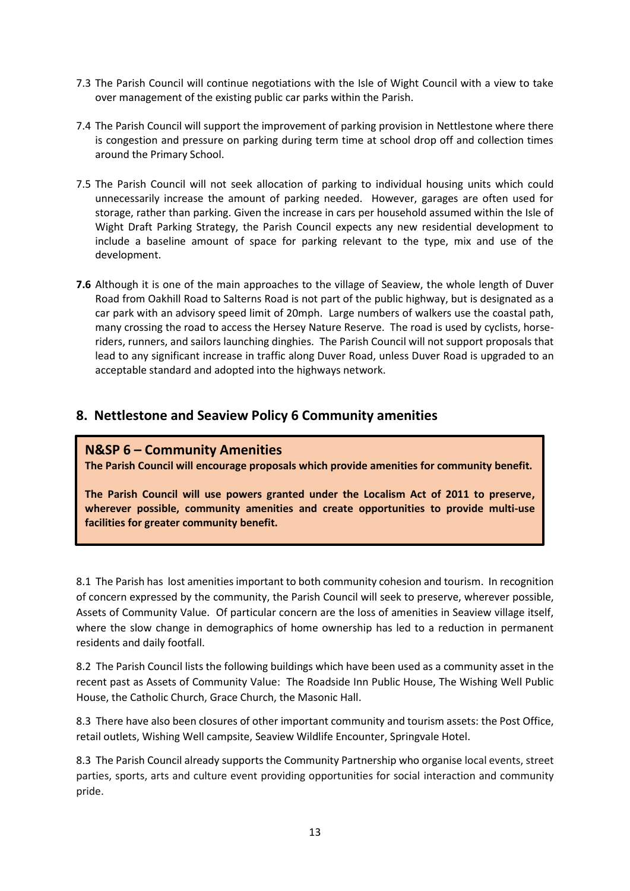- 7.3 The Parish Council will continue negotiations with the Isle of Wight Council with a view to take over management of the existing public car parks within the Parish.
- 7.4 The Parish Council will support the improvement of parking provision in Nettlestone where there is congestion and pressure on parking during term time at school drop off and collection times around the Primary School.
- 7.5 The Parish Council will not seek allocation of parking to individual housing units which could unnecessarily increase the amount of parking needed. However, garages are often used for storage, rather than parking. Given the increase in cars per household assumed within the Isle of Wight Draft Parking Strategy, the Parish Council expects any new residential development to include a baseline amount of space for parking relevant to the type, mix and use of the development.
- **7.6** Although it is one of the main approaches to the village of Seaview, the whole length of Duver Road from Oakhill Road to Salterns Road is not part of the public highway, but is designated as a car park with an advisory speed limit of 20mph. Large numbers of walkers use the coastal path, many crossing the road to access the Hersey Nature Reserve. The road is used by cyclists, horseriders, runners, and sailors launching dinghies. The Parish Council will not support proposals that lead to any significant increase in traffic along Duver Road, unless Duver Road is upgraded to an acceptable standard and adopted into the highways network.

## **8. Nettlestone and Seaview Policy 6 Community amenities**

#### **N&SP 6 – Community Amenities**

**The Parish Council will encourage proposals which provide amenities for community benefit.**

**The Parish Council will use powers granted under the Localism Act of 2011 to preserve, wherever possible, community amenities and create opportunities to provide multi-use facilities for greater community benefit.**

8.1 The Parish has lost amenities important to both community cohesion and tourism. In recognition of concern expressed by the community, the Parish Council will seek to preserve, wherever possible, Assets of Community Value. Of particular concern are the loss of amenities in Seaview village itself, where the slow change in demographics of home ownership has led to a reduction in permanent residents and daily footfall.

8.2 The Parish Council lists the following buildings which have been used as a community asset in the recent past as Assets of Community Value: The Roadside Inn Public House, The Wishing Well Public House, the Catholic Church, Grace Church, the Masonic Hall.

8.3 There have also been closures of other important community and tourism assets: the Post Office, retail outlets, Wishing Well campsite, Seaview Wildlife Encounter, Springvale Hotel.

8.3 The Parish Council already supports the Community Partnership who organise local events, street parties, sports, arts and culture event providing opportunities for social interaction and community pride.